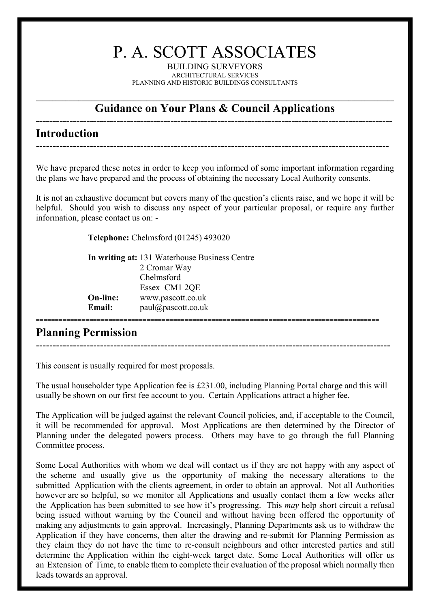# P. A. SCOTT ASSOCIATES

BUILDING SURVEYORS ARCHITECTURAL SERVICES PLANNING AND HISTORIC BUILDINGS CONSULTANTS

### **Guidance on Your Plans & Council Applications**

#### **---------------------------------------------------------------------------------------------------------- Introduction**

We have prepared these notes in order to keep you informed of some important information regarding the plans we have prepared and the process of obtaining the necessary Local Authority consents.

---------------------------------------------------------------------------------------------------------

It is not an exhaustive document but covers many of the question's clients raise, and we hope it will be helpful. Should you wish to discuss any aspect of your particular proposal, or require any further information, please contact us on: -

**Telephone:** Chelmsford (01245) 493020

|                 | In writing at: 131 Waterhouse Business Centre |
|-----------------|-----------------------------------------------|
|                 | 2 Cromar Way                                  |
|                 | Chelmsford                                    |
|                 | Essex CM1 2QE                                 |
| <b>On-line:</b> | www.pascott.co.uk                             |
| <b>Email:</b>   | paul@pascott.co.uk                            |
|                 |                                               |
|                 |                                               |

## **Planning Permission**

---------------------------------------------------------------------------------------------------------

This consent is usually required for most proposals.

The usual householder type Application fee is £231.00, including Planning Portal charge and this will usually be shown on our first fee account to you. Certain Applications attract a higher fee.

The Application will be judged against the relevant Council policies, and, if acceptable to the Council, it will be recommended for approval. Most Applications are then determined by the Director of Planning under the delegated powers process. Others may have to go through the full Planning Committee process.

Some Local Authorities with whom we deal will contact us if they are not happy with any aspect of the scheme and usually give us the opportunity of making the necessary alterations to the submitted Application with the clients agreement, in order to obtain an approval. Not all Authorities however are so helpful, so we monitor all Applications and usually contact them a few weeks after the Application has been submitted to see how it's progressing. This *may* help short circuit a refusal being issued without warning by the Council and without having been offered the opportunity of making any adjustments to gain approval. Increasingly, Planning Departments ask us to withdraw the Application if they have concerns, then alter the drawing and re-submit for Planning Permission as they claim they do not have the time to re-consult neighbours and other interested parties and still determine the Application within the eight-week target date. Some Local Authorities will offer us an Extension of Time, to enable them to complete their evaluation of the proposal which normally then leads towards an approval.